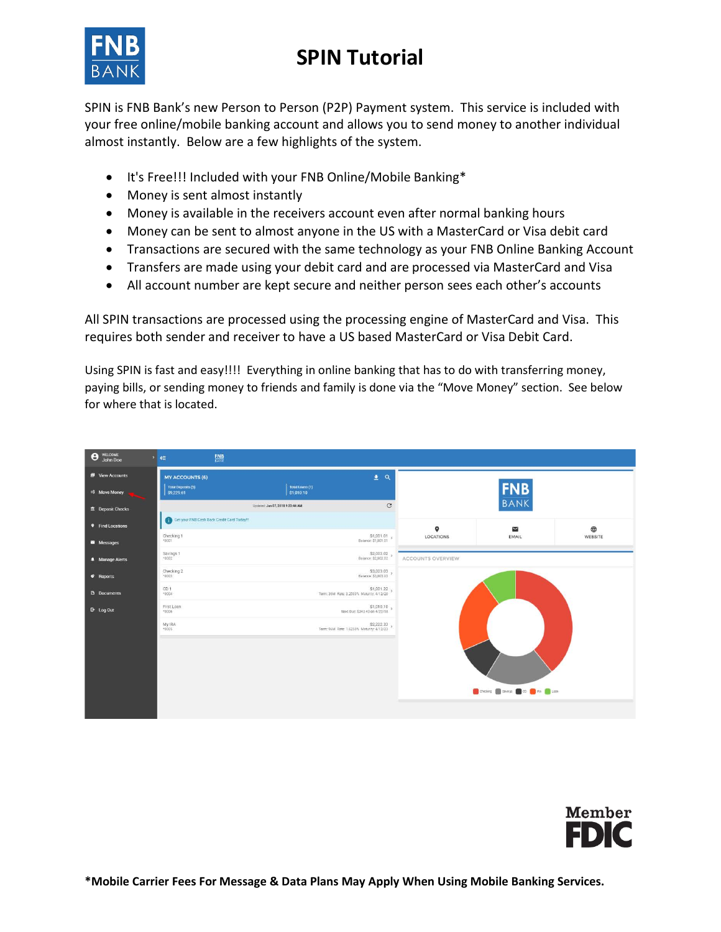## **SPIN Tutorial**



SPIN is FNB Bank's new Person to Person (P2P) Payment system. This service is included with your free online/mobile banking account and allows you to send money to another individual almost instantly. Below are a few highlights of the system.

- It's Free!!! Included with your FNB Online/Mobile Banking\*
- Money is sent almost instantly
- Money is available in the receivers account even after normal banking hours
- Money can be sent to almost anyone in the US with a MasterCard or Visa debit card
- Transactions are secured with the same technology as your FNB Online Banking Account
- Transfers are made using your debit card and are processed via MasterCard and Visa
- All account number are kept secure and neither person sees each other's accounts

All SPIN transactions are processed using the processing engine of MasterCard and Visa. This requires both sender and receiver to have a US based MasterCard or Visa Debit Card.

Using SPIN is fast and easy!!!! Everything in online banking that has to do with transferring money, paying bills, or sending money to friends and family is done via the "Move Money" section. See below for where that is located.

| WELCOME<br>John Doe<br>$\boldsymbol{\Theta}$ | $\frac{\text{FNB}}{\text{BANE}}$<br>$\rightarrow$ $\in$ |                                                         |                          |                                             |                        |
|----------------------------------------------|---------------------------------------------------------|---------------------------------------------------------|--------------------------|---------------------------------------------|------------------------|
| <b>B</b> View Accounts                       | <b>MY ACCOUNTS (6)</b>                                  | $\pm$ a                                                 |                          |                                             |                        |
| <b>4\$ Move Money</b>                        | <b>Total Deposits (5)</b><br>\$9,229.61                 | Total Loans (1)<br>\$1,010.10                           |                          | <b>FNB</b><br>BANK                          |                        |
| <b>E</b> Deposit Checks                      |                                                         | $\mathcal{C}$<br>Updated: Jun 07, 2018 9:23:44 AM       |                          |                                             |                        |
| <b>9</b> Find Locations                      | Get your FNB Cash Back Credit Card Today!!!             |                                                         | $\bullet$                | $\overline{\phantom{a}}$                    | $\qquad \qquad \oplus$ |
| Messages                                     | Checking 1<br>$*0001$                                   | $$1,001.01$ s<br>Balance: \$1,001.01                    | LOCATIONS                | EMAIL                                       | WEBSITE                |
| <b>A</b> Manage Alerts                       | Savings 1<br>$+0002$                                    | S2,002.02 ><br>Balance: \$2,002.02                      | <b>ACCOUNTS OVERVIEW</b> |                                             |                        |
| C Reports                                    | Checking 2<br>40003                                     | \$3,003.03                                              |                          |                                             |                        |
| <b>B</b> Documents                           | CD <sub>1</sub><br><b>A0004</b>                         | \$1,001.22<br>Term: 36M Rate: 3.2500% Maturity: 4/12/20 |                          |                                             |                        |
| <b>B</b> Log Out                             | First Loan<br>10006                                     | \$1,010.10 \$<br>Next Due: \$343.43 on 4/22/18          |                          |                                             |                        |
|                                              | My IRA<br>$*0005$                                       | \$2,222.33<br>Term: 96M Rate: 1.6250% Maturity: 4/12/23 |                          |                                             |                        |
|                                              |                                                         |                                                         |                          |                                             |                        |
|                                              |                                                         |                                                         |                          |                                             |                        |
|                                              |                                                         |                                                         |                          |                                             |                        |
|                                              |                                                         |                                                         |                          | Checking a savings and co. The RA The Loan- |                        |
|                                              |                                                         |                                                         |                          |                                             |                        |

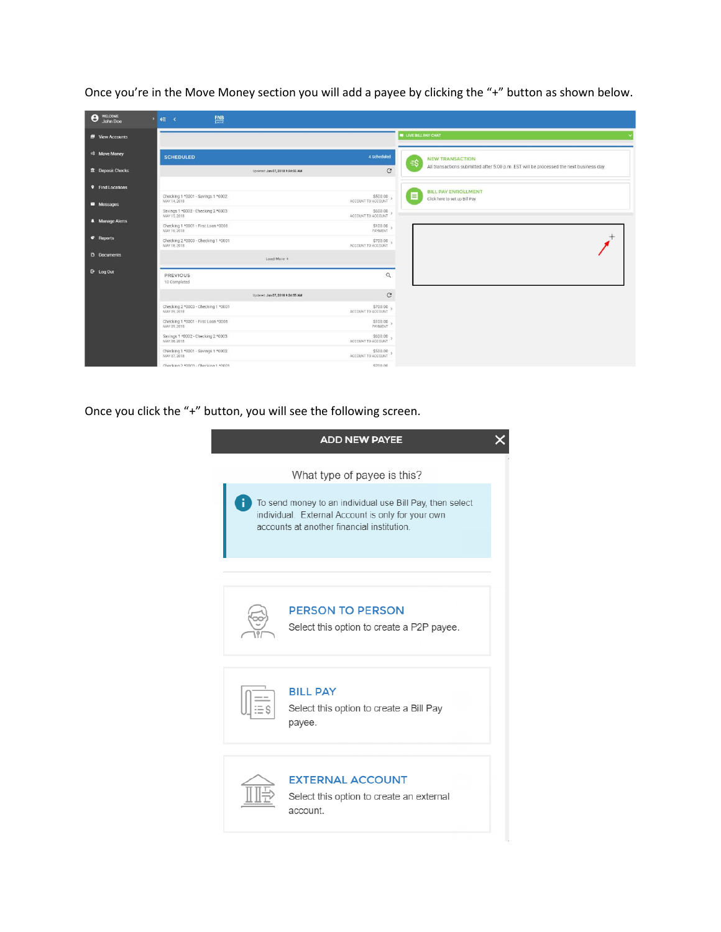| <b>WELCOME</b><br>Θ<br>John Doe | $FMS$ <sub>BANK</sub><br>$\mathbf{y}_1$<br>$\epsilon$ |                                  |                                |                                                                                         |
|---------------------------------|-------------------------------------------------------|----------------------------------|--------------------------------|-----------------------------------------------------------------------------------------|
| <b>B</b> View Accounts          |                                                       |                                  |                                | <b>UVE BILL PAY CHAT</b>                                                                |
| <b>E\$</b> Move Money           | <b>SCHEDULED</b>                                      |                                  | 4 Scheduled                    | <b>NEW TRANSACTION</b><br>$\exists$ \$                                                  |
| <b>E</b> Deposit Checks         |                                                       | Updated: Jun 07, 2018 9:24:55 AM | C                              | All transactions submitted after 5:00 p.m. EST will be processed the next business day. |
| <b>9</b> Find Locations         |                                                       |                                  |                                | <b>BILL PAY ENROLLMENT</b>                                                              |
| Messages                        | Checking 1 *0001 - Savings 1 *0002<br>MAY 14, 2018    |                                  | \$500.00<br>ACCOUNT TO ACCOUNT | 目<br>Click here to set up Bill Pay                                                      |
|                                 | Savings 1 *0002 - Checking 2 *0003<br>MAY 15, 2018    |                                  | \$600.00<br>ACCOUNT TO ACCOUNT |                                                                                         |
| <b>A</b> Manage Alerts          | Checking 1 *0001 - First Loan *0006<br>MAY 16, 2018   |                                  | \$100.00<br>PAYMENT            |                                                                                         |
| <b>c</b> Reports                | Checking 2 *0003 - Checking 1 *0001<br>MAY 16, 2018   |                                  | \$700.00<br>ACCOUNT TO ACCOUNT |                                                                                         |
| <b>D</b> Documents              |                                                       | Load More +                      |                                |                                                                                         |
| <b>B</b> Log Out                | <b>PREVIOUS</b><br>10 Completed                       |                                  | $\mathsf Q$                    |                                                                                         |
|                                 |                                                       | Updated: Jun 07, 2018 9:24:55 AM | $\mathbf C$                    |                                                                                         |
|                                 | Checking 2 *0003 - Checking 1 *0001<br>MAY 09, 2018   |                                  | \$700.00<br>ACCOUNT TO ACCOUNT |                                                                                         |
|                                 | Checking 1 *0001 - First Loan *0006<br>MAY 09, 2018   |                                  | \$100.00                       |                                                                                         |
|                                 | Savings 1 *0002 - Checking 2 *0003<br>MAY 08, 2018    |                                  | \$600.00 \$600.00              |                                                                                         |
|                                 | Checking 1 *0001 - Savings 1 *0002<br>MAY 07, 2018    |                                  | \$500.00<br>ACCOUNT TO ACCOUNT |                                                                                         |
|                                 | Checking 2.10003 - Checking 1.10001                   |                                  | \$700.00                       |                                                                                         |

Once you're in the Move Money section you will add a payee by clicking the "+" button as shown below.

## Once you click the "+" button, you will see the following screen.